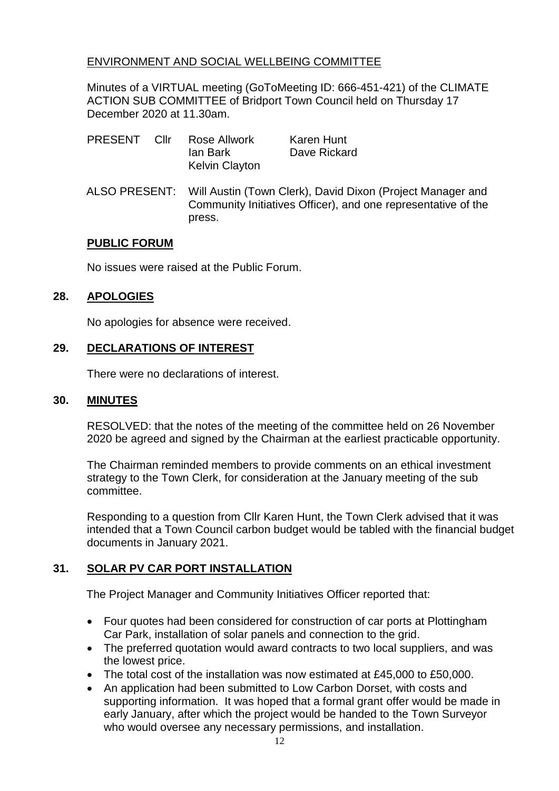## ENVIRONMENT AND SOCIAL WELLBEING COMMITTEE

Minutes of a VIRTUAL meeting (GoToMeeting ID: 666-451-421) of the CLIMATE ACTION SUB COMMITTEE of Bridport Town Council held on Thursday 17 December 2020 at 11.30am.

| <b>PRESENT</b> | Cllr | Rose Allwork          | Karen Hunt   |
|----------------|------|-----------------------|--------------|
|                |      | lan Bark              | Dave Rickard |
|                |      | <b>Kelvin Clayton</b> |              |

ALSO PRESENT: Will Austin (Town Clerk), David Dixon (Project Manager and Community Initiatives Officer), and one representative of the press.

#### **PUBLIC FORUM**

No issues were raised at the Public Forum.

## **28. APOLOGIES**

No apologies for absence were received.

## **29. DECLARATIONS OF INTEREST**

There were no declarations of interest.

#### **30. MINUTES**

RESOLVED: that the notes of the meeting of the committee held on 26 November 2020 be agreed and signed by the Chairman at the earliest practicable opportunity.

The Chairman reminded members to provide comments on an ethical investment strategy to the Town Clerk, for consideration at the January meeting of the sub committee.

Responding to a question from Cllr Karen Hunt, the Town Clerk advised that it was intended that a Town Council carbon budget would be tabled with the financial budget documents in January 2021.

# **31. SOLAR PV CAR PORT INSTALLATION**

The Project Manager and Community Initiatives Officer reported that:

- Four quotes had been considered for construction of car ports at Plottingham Car Park, installation of solar panels and connection to the grid.
- The preferred quotation would award contracts to two local suppliers, and was the lowest price.
- The total cost of the installation was now estimated at £45,000 to £50,000.
- An application had been submitted to Low Carbon Dorset, with costs and supporting information. It was hoped that a formal grant offer would be made in early January, after which the project would be handed to the Town Surveyor who would oversee any necessary permissions, and installation.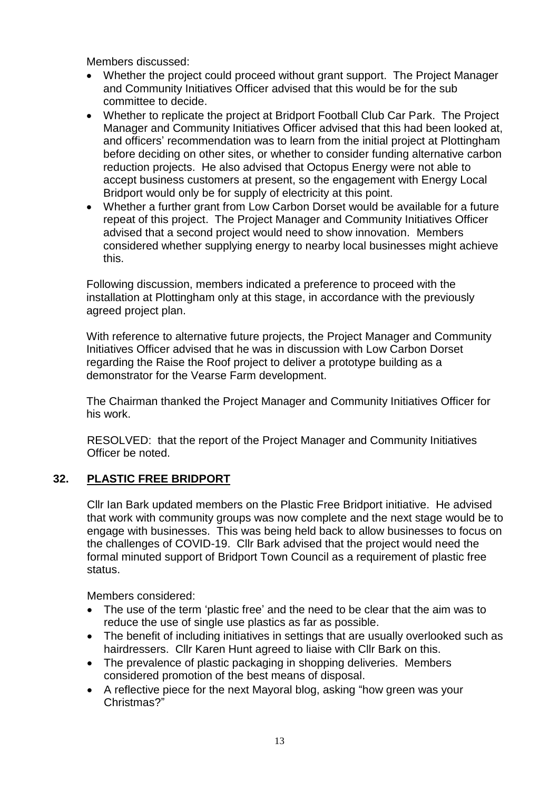Members discussed:

- Whether the project could proceed without grant support. The Project Manager and Community Initiatives Officer advised that this would be for the sub committee to decide.
- Whether to replicate the project at Bridport Football Club Car Park. The Project Manager and Community Initiatives Officer advised that this had been looked at, and officers' recommendation was to learn from the initial project at Plottingham before deciding on other sites, or whether to consider funding alternative carbon reduction projects. He also advised that Octopus Energy were not able to accept business customers at present, so the engagement with Energy Local Bridport would only be for supply of electricity at this point.
- Whether a further grant from Low Carbon Dorset would be available for a future repeat of this project. The Project Manager and Community Initiatives Officer advised that a second project would need to show innovation. Members considered whether supplying energy to nearby local businesses might achieve this.

Following discussion, members indicated a preference to proceed with the installation at Plottingham only at this stage, in accordance with the previously agreed project plan.

With reference to alternative future projects, the Project Manager and Community Initiatives Officer advised that he was in discussion with Low Carbon Dorset regarding the Raise the Roof project to deliver a prototype building as a demonstrator for the Vearse Farm development.

The Chairman thanked the Project Manager and Community Initiatives Officer for his work.

RESOLVED: that the report of the Project Manager and Community Initiatives Officer be noted.

## **32. PLASTIC FREE BRIDPORT**

Cllr Ian Bark updated members on the Plastic Free Bridport initiative. He advised that work with community groups was now complete and the next stage would be to engage with businesses. This was being held back to allow businesses to focus on the challenges of COVID-19. Cllr Bark advised that the project would need the formal minuted support of Bridport Town Council as a requirement of plastic free status.

Members considered:

- The use of the term 'plastic free' and the need to be clear that the aim was to reduce the use of single use plastics as far as possible.
- The benefit of including initiatives in settings that are usually overlooked such as hairdressers. Cllr Karen Hunt agreed to liaise with Cllr Bark on this.
- The prevalence of plastic packaging in shopping deliveries. Members considered promotion of the best means of disposal.
- A reflective piece for the next Mayoral blog, asking "how green was your Christmas?"